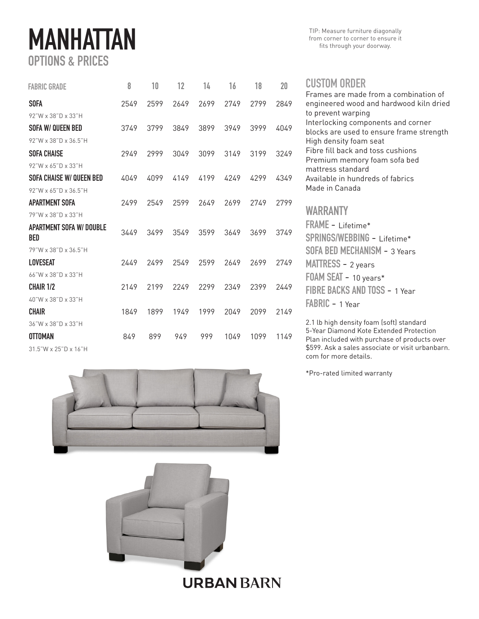## MANHATTAN OPTIONS & PRICES

| <b>FABRIC GRADE</b>                           | 8    | 10   | 12   | 14   | 16   | 18   | 20   |
|-----------------------------------------------|------|------|------|------|------|------|------|
| <b>SOFA</b>                                   | 2549 | 2599 | 2649 | 2699 | 2749 | 2799 | 2849 |
| 92"W x 38"D x 33"H                            |      |      |      |      |      |      |      |
| SOFA W/ QUEEN BED                             | 3749 | 3799 | 3849 | 3899 | 3949 | 3999 | 4049 |
| 92"W x 38"D x 36.5"H                          |      |      |      |      |      |      |      |
| <b>SOFA CHAISE</b>                            | 2949 | 2999 | 3049 | 3099 | 3149 | 3199 | 3249 |
| 92"W x 65"D x 33"H                            |      |      |      |      |      |      |      |
| SOFA CHAISE W/ QUEEN BED                      | 4049 | 4099 | 4149 | 4199 | 4249 | 4299 | 4349 |
| 92"W x 65"D x 36.5"H                          |      |      |      |      |      |      |      |
| <b>APARTMENT SOFA</b>                         | 2499 | 2549 | 2599 | 2649 | 2699 | 2749 | 2799 |
| 79"W x 38"D x 33"H                            |      |      |      |      |      |      |      |
| <b>APARTMENT SOFA W/ DOUBLE</b><br><b>BED</b> | 3449 | 3499 | 3549 | 3599 | 3649 | 3699 | 3749 |
| 79"W x 38"D x 36.5"H                          |      |      |      |      |      |      |      |
| <b>I OVESEAT</b>                              | 2449 | 2499 | 2549 | 2599 | 2649 | 2699 | 2749 |
| 66"W x 38"D x 33"H                            |      |      |      |      |      |      |      |
| <b>CHAIR 1/2</b>                              | 2149 | 2199 | 2249 | 2299 | 2349 | 2399 | 2449 |
| 40"W x 38"D x 33"H                            |      |      |      |      |      |      |      |
| <b>CHAIR</b>                                  | 1849 | 1899 | 1949 | 1999 | 2049 | 2099 | 2149 |
| 36"W x 38"D x 33"H                            |      |      |      |      |      |      |      |
| <b>OTTOMAN</b>                                | 849  | 899  | 949  | 999  | 1049 | 1099 | 1149 |

31.5"W x 25"D x 16"H





**URBAN BARN** 

## CUSTOM ORDER

Frames are made from a combination of engineered wood and hardwood kiln dried to prevent warping Interlocking components and corner blocks are used to ensure frame strength High density foam seat Fibre fill back and toss cushions Premium memory foam sofa bed mattress standard Available in hundreds of fabrics Made in Canada WARRANTY FRAME - Lifetime\* SPRINGS/WEBBING - Lifetime\* SOFA BED MECHANISM - 3 Years MATTRESS - 2 years

FOAM SEAT - 10 years\* FIBRE BACKS AND TOSS - 1 Year FABRIC - 1 Year

2.1 lb high density foam (soft) standard 5-Year Diamond Kote Extended Protection Plan included with purchase of products over \$599. Ask a sales associate or visit urbanbarn. com for more details.

\*Pro-rated limited warranty